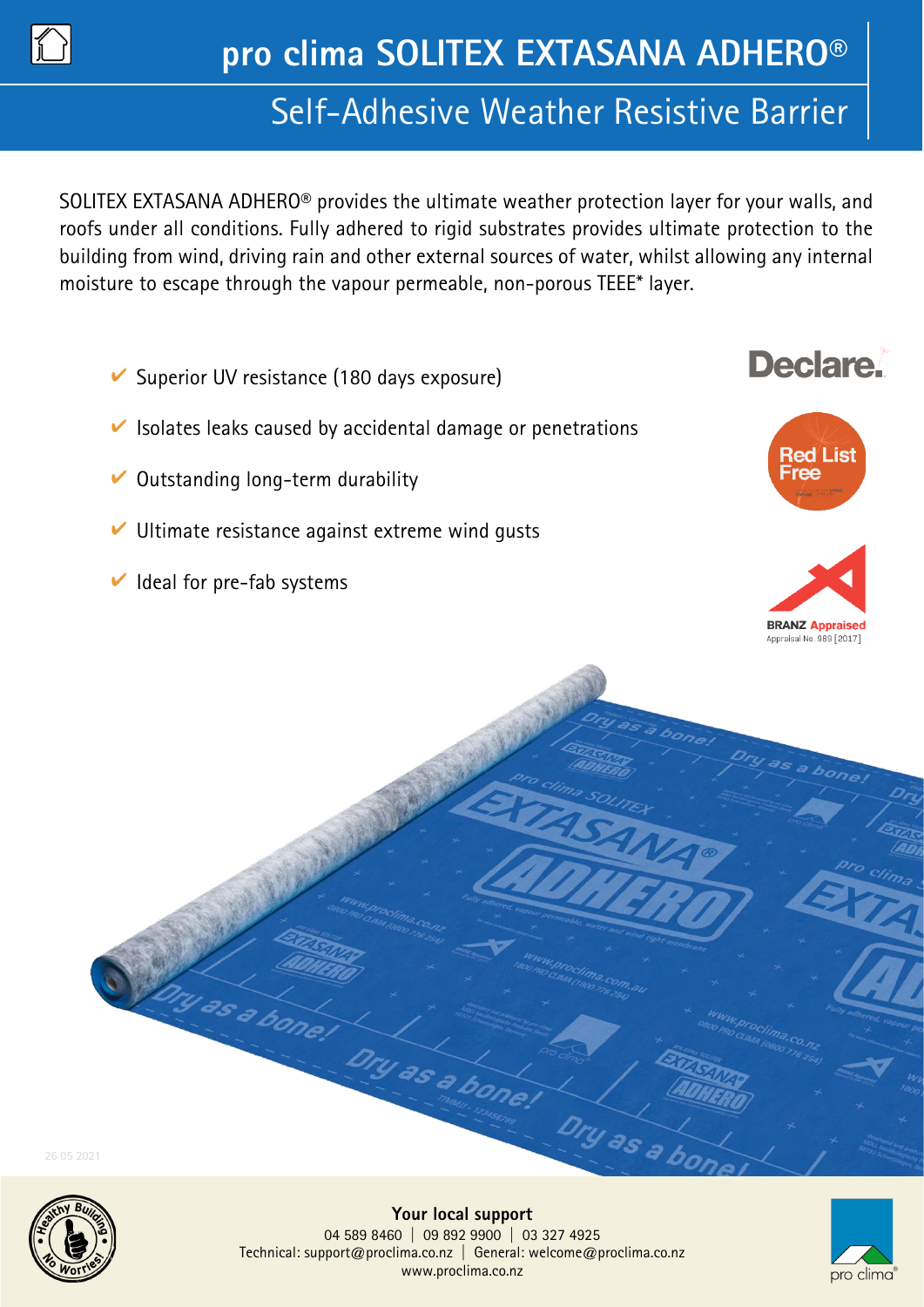

# Self-Adhesive Weather Resistive Barrier

SOLITEX EXTASANA ADHERO® provides the ultimate weather protection layer for your walls, and roofs under all conditions. Fully adhered to rigid substrates provides ultimate protection to the building from wind, driving rain and other external sources of water, whilst allowing any internal moisture to escape through the vapour permeable, non-porous TEEE\* layer.

- $\vee$  Superior UV resistance (180 days exposure)
- $\vee$  Isolates leaks caused by accidental damage or penetrations
- $\vee$  Outstanding long-term durability
- $\vee$  Ultimate resistance against extreme wind qusts
- $\vee$  Ideal for pre-fab systems

ty as a bone.



**Declare** 



26 05 2021



Dry as a b

Dry as a bone